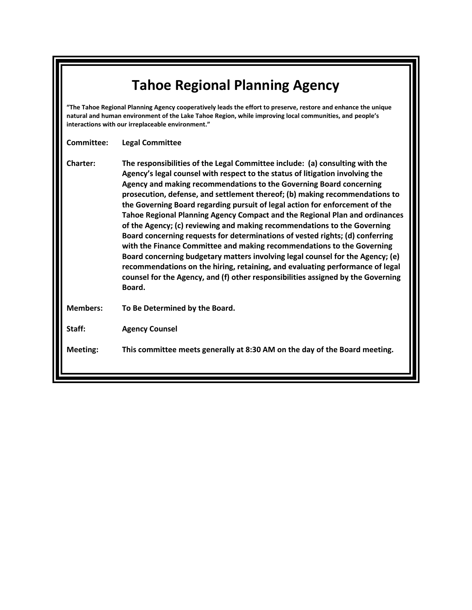| <b>Tahoe Regional Planning Agency</b>                                                                                                                                                                                                                                          |                                                                                                                                                                                                                                                                                                                                                                                                                                                                                                                                                                                                                                                                                                                                                                                                                                                                                                                                                                                            |  |
|--------------------------------------------------------------------------------------------------------------------------------------------------------------------------------------------------------------------------------------------------------------------------------|--------------------------------------------------------------------------------------------------------------------------------------------------------------------------------------------------------------------------------------------------------------------------------------------------------------------------------------------------------------------------------------------------------------------------------------------------------------------------------------------------------------------------------------------------------------------------------------------------------------------------------------------------------------------------------------------------------------------------------------------------------------------------------------------------------------------------------------------------------------------------------------------------------------------------------------------------------------------------------------------|--|
| "The Tahoe Regional Planning Agency cooperatively leads the effort to preserve, restore and enhance the unique<br>natural and human environment of the Lake Tahoe Region, while improving local communities, and people's<br>interactions with our irreplaceable environment." |                                                                                                                                                                                                                                                                                                                                                                                                                                                                                                                                                                                                                                                                                                                                                                                                                                                                                                                                                                                            |  |
| Committee:                                                                                                                                                                                                                                                                     | <b>Legal Committee</b>                                                                                                                                                                                                                                                                                                                                                                                                                                                                                                                                                                                                                                                                                                                                                                                                                                                                                                                                                                     |  |
| <b>Charter:</b>                                                                                                                                                                                                                                                                | The responsibilities of the Legal Committee include: (a) consulting with the<br>Agency's legal counsel with respect to the status of litigation involving the<br>Agency and making recommendations to the Governing Board concerning<br>prosecution, defense, and settlement thereof; (b) making recommendations to<br>the Governing Board regarding pursuit of legal action for enforcement of the<br>Tahoe Regional Planning Agency Compact and the Regional Plan and ordinances<br>of the Agency; (c) reviewing and making recommendations to the Governing<br>Board concerning requests for determinations of vested rights; (d) conferring<br>with the Finance Committee and making recommendations to the Governing<br>Board concerning budgetary matters involving legal counsel for the Agency; (e)<br>recommendations on the hiring, retaining, and evaluating performance of legal<br>counsel for the Agency, and (f) other responsibilities assigned by the Governing<br>Board. |  |
| <b>Members:</b>                                                                                                                                                                                                                                                                | To Be Determined by the Board.                                                                                                                                                                                                                                                                                                                                                                                                                                                                                                                                                                                                                                                                                                                                                                                                                                                                                                                                                             |  |
| Staff:                                                                                                                                                                                                                                                                         | <b>Agency Counsel</b>                                                                                                                                                                                                                                                                                                                                                                                                                                                                                                                                                                                                                                                                                                                                                                                                                                                                                                                                                                      |  |
| <b>Meeting:</b>                                                                                                                                                                                                                                                                | This committee meets generally at 8:30 AM on the day of the Board meeting.                                                                                                                                                                                                                                                                                                                                                                                                                                                                                                                                                                                                                                                                                                                                                                                                                                                                                                                 |  |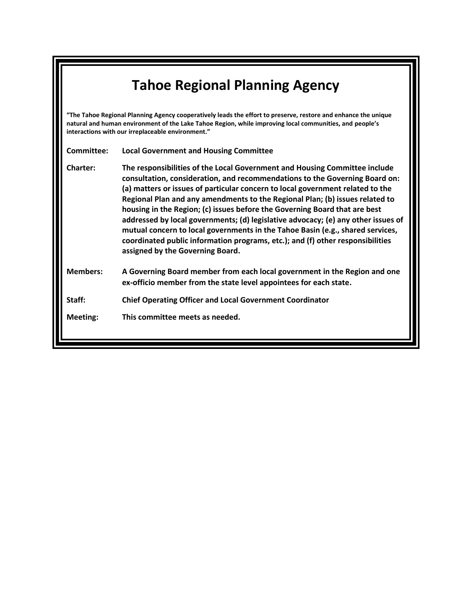## **Tahoe Regional Planning Agency**

**"The Tahoe Regional Planning Agency cooperatively leads the effort to preserve, restore and enhance the unique natural and human environment of the Lake Tahoe Region, while improving local communities, and people's interactions with our irreplaceable environment."**

**Committee: Local Government and Housing Committee**

**Charter: The responsibilities of the Local Government and Housing Committee include consultation, consideration, and recommendations to the Governing Board on: (a) matters or issues of particular concern to local government related to the Regional Plan and any amendments to the Regional Plan; (b) issues related to housing in the Region; (c) issues before the Governing Board that are best addressed by local governments; (d) legislative advocacy; (e) any other issues of mutual concern to local governments in the Tahoe Basin (e.g., shared services, coordinated public information programs, etc.); and (f) other responsibilities assigned by the Governing Board.**

**Members: A Governing Board member from each local government in the Region and one ex-officio member from the state level appointees for each state.**

**Staff: Chief Operating Officer and Local Government Coordinator**

**Meeting: This committee meets as needed.**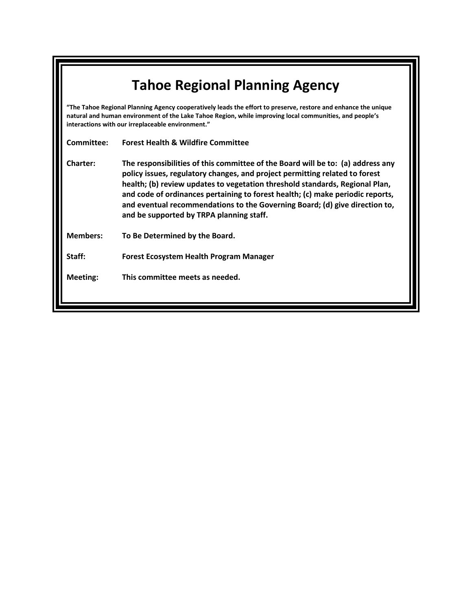| <b>Tahoe Regional Planning Agency</b>                                                                                                                                                                                                                                          |                                                                                                                                                                                                                                                                                                                                                                                                                                                             |  |
|--------------------------------------------------------------------------------------------------------------------------------------------------------------------------------------------------------------------------------------------------------------------------------|-------------------------------------------------------------------------------------------------------------------------------------------------------------------------------------------------------------------------------------------------------------------------------------------------------------------------------------------------------------------------------------------------------------------------------------------------------------|--|
| "The Tahoe Regional Planning Agency cooperatively leads the effort to preserve, restore and enhance the unique<br>natural and human environment of the Lake Tahoe Region, while improving local communities, and people's<br>interactions with our irreplaceable environment." |                                                                                                                                                                                                                                                                                                                                                                                                                                                             |  |
| Committee:                                                                                                                                                                                                                                                                     | <b>Forest Health &amp; Wildfire Committee</b>                                                                                                                                                                                                                                                                                                                                                                                                               |  |
| <b>Charter:</b>                                                                                                                                                                                                                                                                | The responsibilities of this committee of the Board will be to: (a) address any<br>policy issues, regulatory changes, and project permitting related to forest<br>health; (b) review updates to vegetation threshold standards, Regional Plan,<br>and code of ordinances pertaining to forest health; (c) make periodic reports,<br>and eventual recommendations to the Governing Board; (d) give direction to,<br>and be supported by TRPA planning staff. |  |
| <b>Members:</b>                                                                                                                                                                                                                                                                | To Be Determined by the Board.                                                                                                                                                                                                                                                                                                                                                                                                                              |  |
| Staff:                                                                                                                                                                                                                                                                         | <b>Forest Ecosystem Health Program Manager</b>                                                                                                                                                                                                                                                                                                                                                                                                              |  |
| <b>Meeting:</b>                                                                                                                                                                                                                                                                | This committee meets as needed.                                                                                                                                                                                                                                                                                                                                                                                                                             |  |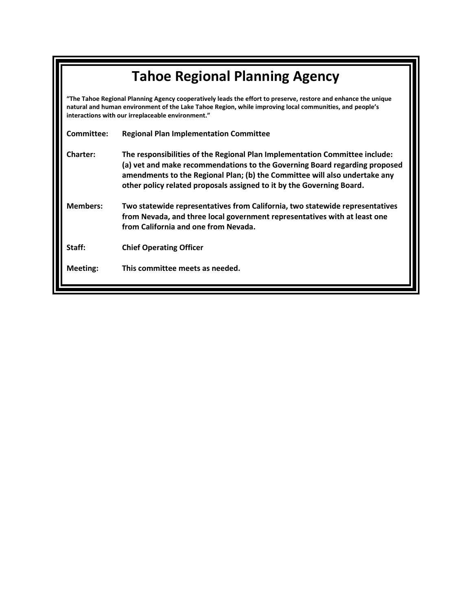| <b>Tahoe Regional Planning Agency</b>                                                                                                                                                                                                                                          |                                                                                                                                                                                                                                                                                                                  |  |
|--------------------------------------------------------------------------------------------------------------------------------------------------------------------------------------------------------------------------------------------------------------------------------|------------------------------------------------------------------------------------------------------------------------------------------------------------------------------------------------------------------------------------------------------------------------------------------------------------------|--|
| "The Tahoe Regional Planning Agency cooperatively leads the effort to preserve, restore and enhance the unique<br>natural and human environment of the Lake Tahoe Region, while improving local communities, and people's<br>interactions with our irreplaceable environment." |                                                                                                                                                                                                                                                                                                                  |  |
| Committee:                                                                                                                                                                                                                                                                     | <b>Regional Plan Implementation Committee</b>                                                                                                                                                                                                                                                                    |  |
| <b>Charter:</b>                                                                                                                                                                                                                                                                | The responsibilities of the Regional Plan Implementation Committee include:<br>(a) vet and make recommendations to the Governing Board regarding proposed<br>amendments to the Regional Plan; (b) the Committee will also undertake any<br>other policy related proposals assigned to it by the Governing Board. |  |
| <b>Members:</b>                                                                                                                                                                                                                                                                | Two statewide representatives from California, two statewide representatives<br>from Nevada, and three local government representatives with at least one<br>from California and one from Nevada.                                                                                                                |  |
| Staff:                                                                                                                                                                                                                                                                         | <b>Chief Operating Officer</b>                                                                                                                                                                                                                                                                                   |  |
| Meeting:                                                                                                                                                                                                                                                                       | This committee meets as needed.                                                                                                                                                                                                                                                                                  |  |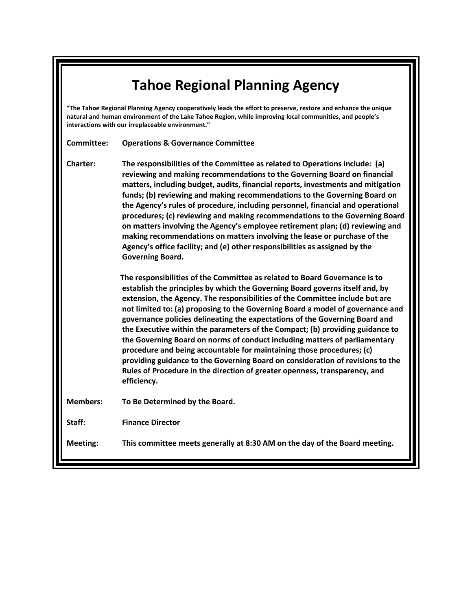## **Tahoe Regional Planning Agency**

**"The Tahoe Regional Planning Agency cooperatively leads the effort to preserve, restore and enhance the unique natural and human environment of the Lake Tahoe Region, while improving local communities, and people's interactions with our irreplaceable environment."**

**Committee: Operations & Governance Committee**

**Charter: The responsibilities of the Committee as related to Operations include: (a) reviewing and making recommendations to the Governing Board on financial matters, including budget, audits, financial reports, investments and mitigation funds; (b) reviewing and making recommendations to the Governing Board on the Agency's rules of procedure, including personnel, financial and operational procedures; (c) reviewing and making recommendations to the Governing Board on matters involving the Agency's employee retirement plan; (d) reviewing and making recommendations on matters involving the lease or purchase of the Agency's office facility; and (e) other responsibilities as assigned by the Governing Board.** 

> **The responsibilities of the Committee as related to Board Governance is to establish the principles by which the Governing Board governs itself and, by extension, the Agency. The responsibilities of the Committee include but are not limited to: (a) proposing to the Governing Board a model of governance and governance policies delineating the expectations of the Governing Board and the Executive within the parameters of the Compact; (b) providing guidance to the Governing Board on norms of conduct including matters of parliamentary procedure and being accountable for maintaining those procedures; (c) providing guidance to the Governing Board on consideration of revisions to the Rules of Procedure in the direction of greater openness, transparency, and efficiency.**

**Members: To Be Determined by the Board.**

**Staff: Finance Director**

**Meeting: This committee meets generally at 8:30 AM on the day of the Board meeting.**